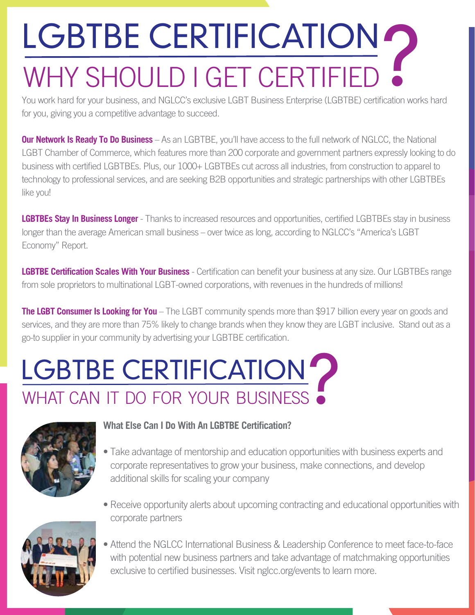# LGBTBE CERTIFICATION O WHY SHOULD I GET CERTIFIED

You work hard for your business, and NGLCC's exclusive LGBT Business Enterprise (LGBTBE) certification works hard for you, giving you a competitive advantage to succeed.

**Our Network Is Ready To Do Business** – As an LGBTBE, you'll have access to the full network of NGLCC, the National LGBT Chamber of Commerce, which features more than 200 corporate and government partners expressly looking to do business with certifed LGBTBEs. Plus, our 1000+ LGBTBEs cut across all industries, from construction to apparel to technology to professional services, and are seeking B2B opportunities and strategic partnerships with other LGBTBEs like you!

**LGBTBEs Stay In Business Longer** - Thanks to increased resources and opportunities, certifed LGBTBEs stay in business longer than the average American small business – over twice as long, according to NGLCC's "America's LGBT Economy" Report.

**LGBTBE Certification Scales With Your Business** - Certification can benefit your business at any size. Our LGBTBEs range from sole proprietors to multinational LGBT-owned corporations, with revenues in the hundreds of millions!

**The LGBT Consumer Is Looking for You** – The LGBT community spends more than \$917 billion every year on goods and services, and they are more than 75% likely to change brands when they know they are LGBT inclusive. Stand out as a go-to supplier in your community by advertising your LGBTBE certifcation.

## LGBTBE CERTIFICATION LGBTBE CERTIFICATION?



#### **What Else Can I Do With An LGBTBE Certifcation?**

- Take advantage of mentorship and education opportunities with business experts and corporate representatives to grow your business, make connections, and develop additional skills for scaling your company
- Receive opportunity alerts about upcoming contracting and educational opportunities with corporate partners



• Attend the NGLCC International Business & Leadership Conference to meet face-to-face with potential new business partners and take advantage of matchmaking opportunities exclusive to certified businesses. Visit nglcc.org/events to learn more.